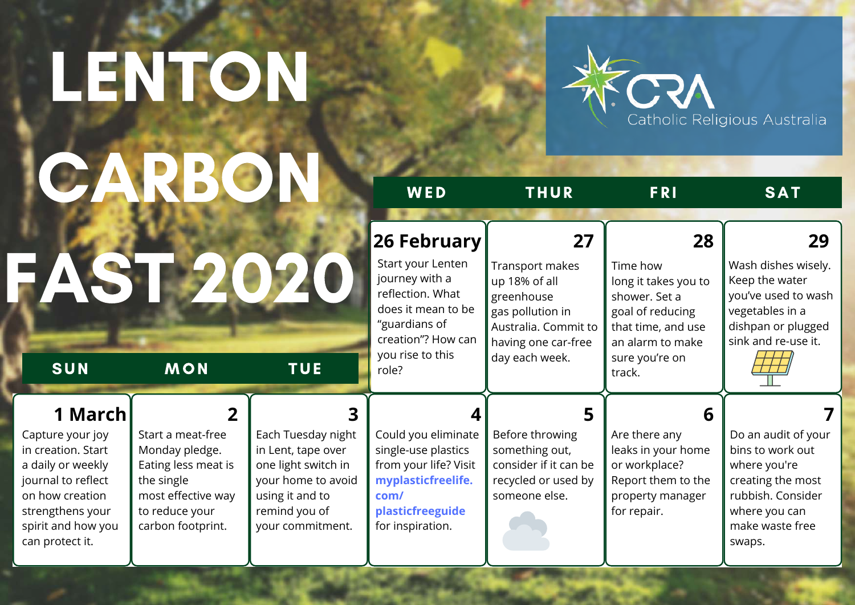## LENTON CARBON



|                                                                                                                                                                              |                                                                                                                                                         |                                                                                                                                               | WED                                                                                                                                                              | <b>THUR</b>                                                                                                                               | <b>FRI</b>                                                                                                                                        | <b>SAT</b>                                                                                                                                      |
|------------------------------------------------------------------------------------------------------------------------------------------------------------------------------|---------------------------------------------------------------------------------------------------------------------------------------------------------|-----------------------------------------------------------------------------------------------------------------------------------------------|------------------------------------------------------------------------------------------------------------------------------------------------------------------|-------------------------------------------------------------------------------------------------------------------------------------------|---------------------------------------------------------------------------------------------------------------------------------------------------|-------------------------------------------------------------------------------------------------------------------------------------------------|
| SUN                                                                                                                                                                          | <b>MON</b>                                                                                                                                              | <b>TUE</b>                                                                                                                                    | 26 February<br>Start your Lenten<br>journey with a<br>reflection. What<br>does it mean to be<br>"guardians of<br>creation"? How can<br>you rise to this<br>role? | 27<br>Transport makes<br>up 18% of all<br>greenhouse<br>gas pollution in<br>Australia. Commit to<br>having one car-free<br>day each week. | 28<br>Time how<br>long it takes you to<br>shower. Set a<br>goal of reducing<br>that time, and use<br>an alarm to make<br>sure you're on<br>track. | 29<br>Wash dishes wisely.<br>Keep the water<br>you've used to wash<br>vegetables in a<br>dishpan or plugged<br>sink and re-use it.              |
| 1 March<br>Capture your joy<br>in creation. Start<br>a daily or weekly<br>journal to reflect<br>on how creation<br>strengthens your<br>spirit and how you<br>can protect it. | $\overline{2}$<br>Start a meat-free<br>Monday pledge.<br>Eating less meat is<br>the single<br>most effective way<br>to reduce your<br>carbon footprint. | Each Tuesday night<br>in Lent, tape over<br>one light switch in<br>your home to avoid<br>using it and to<br>remind you of<br>your commitment. | Could you eliminate<br>single-use plastics<br>from your life? Visit<br>myplasticfreelife.<br>com/<br>plasticfreeguide<br>for inspiration.                        | 5<br>Before throwing<br>something out,<br>consider if it can be<br>recycled or used by<br>someone else.                                   | 6<br>Are there any<br>leaks in your home<br>or workplace?<br>Report them to the<br>property manager<br>for repair.                                | Do an audit of your<br>bins to work out<br>where you're<br>creating the most<br>rubbish. Consider<br>where you can<br>make waste free<br>swaps. |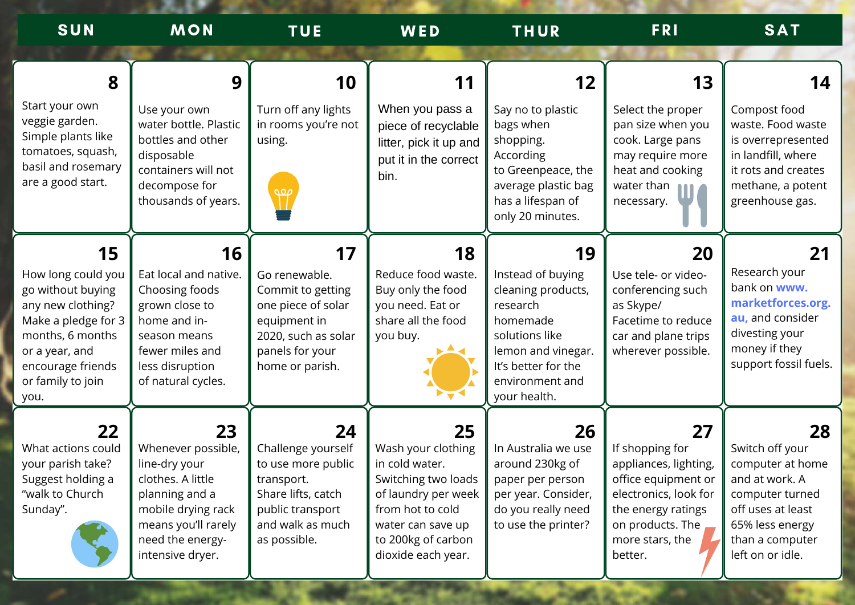| SUN                                                                                                                                                                               | <b>MON</b>                                                                                                                                                            | <b>TUE</b>                                                                                                                                  | WED                                                                                                                                                                           | <b>THUR</b>                                                                                                                                                             | <b>FRI</b>                                                                                                                                                             | <b>SAT</b>                                                                                                                                                    |
|-----------------------------------------------------------------------------------------------------------------------------------------------------------------------------------|-----------------------------------------------------------------------------------------------------------------------------------------------------------------------|---------------------------------------------------------------------------------------------------------------------------------------------|-------------------------------------------------------------------------------------------------------------------------------------------------------------------------------|-------------------------------------------------------------------------------------------------------------------------------------------------------------------------|------------------------------------------------------------------------------------------------------------------------------------------------------------------------|---------------------------------------------------------------------------------------------------------------------------------------------------------------|
| 8                                                                                                                                                                                 | 9                                                                                                                                                                     | 10                                                                                                                                          | 11                                                                                                                                                                            | 12                                                                                                                                                                      | 13                                                                                                                                                                     | 14                                                                                                                                                            |
| Start your own<br>veggie garden.<br>Simple plants like<br>tomatoes, squash,<br>basil and rosemary<br>are a good start.                                                            | Use your own<br>water bottle. Plastic<br>bottles and other<br>disposable<br>containers will not<br>decompose for<br>thousands of years.                               | Turn off any lights<br>in rooms you're not<br>using.<br>$\mathcal{P}$                                                                       | When you pass a<br>piece of recyclable<br>litter, pick it up and<br>put it in the correct<br>bin.                                                                             | Say no to plastic<br>bags when<br>shopping.<br>According<br>to Greenpeace, the<br>average plastic bag<br>has a lifespan of<br>only 20 minutes.                          | Select the proper<br>pan size when you<br>cook. Large pans<br>may require more<br>heat and cooking<br>water than<br>necessary.                                         | Compost food<br>waste. Food waste<br>is overrepresented<br>in landfill, where<br>it rots and creates<br>methane, a potent<br>greenhouse gas.                  |
| 15<br>How long could you<br>go without buying<br>any new clothing?<br>Make a pledge for 3<br>months, 6 months<br>or a year, and<br>encourage friends<br>or family to join<br>you. | 16<br>Eat local and native.<br>Choosing foods<br>grown close to<br>home and in-<br>season means<br>fewer miles and<br>less disruption<br>of natural cycles.           | 17<br>Go renewable.<br>Commit to getting<br>one piece of solar<br>equipment in<br>2020, such as solar<br>panels for your<br>home or parish. | 18<br>Reduce food waste.<br>Buy only the food<br>you need. Eat or<br>share all the food<br>you buy.                                                                           | 19<br>Instead of buying<br>cleaning products,<br>research<br>homemade<br>solutions like<br>lemon and vinegar.<br>It's better for the<br>environment and<br>your health. | 20<br>Use tele- or video-<br>conferencing such<br>as Skype/<br>Facetime to reduce<br>car and plane trips<br>wherever possible.                                         | 21<br>Research your<br>bank on www.<br>marketforces.org.<br>au, and consider<br>divesting your<br>money if they<br>support fossil fuels.                      |
| 22<br>What actions could<br>your parish take?<br>Suggest holding a<br>"walk to Church<br>Sunday".                                                                                 | 23<br>Whenever possible,<br>line-dry your<br>clothes. A little<br>planning and a<br>mobile drying rack<br>means you'll rarely<br>need the energy-<br>intensive dryer. | 24<br>Challenge yourself<br>to use more public<br>transport.<br>Share lifts, catch<br>public transport<br>and walk as much<br>as possible.  | 25<br>Wash your clothing<br>in cold water.<br>Switching two loads<br>of laundry per week<br>from hot to cold<br>water can save up<br>to 200kg of carbon<br>dioxide each year. | 26<br>In Australia we use<br>around 230kg of<br>paper per person<br>per year. Consider,<br>do you really need<br>to use the printer?                                    | 27<br>If shopping for<br>appliances, lighting,<br>office equipment or<br>electronics, look for<br>the energy ratings<br>on products. The<br>more stars, the<br>better. | 28<br>Switch off your<br>computer at home<br>and at work. A<br>computer turned<br>off uses at least<br>65% less energy<br>than a computer<br>left on or idle. |